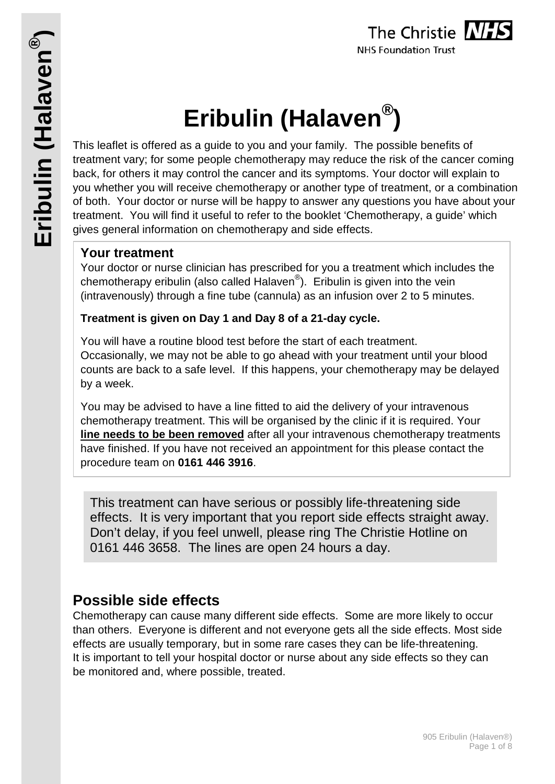# **Eribulin (Halaven®)**

This leaflet is offered as a guide to you and your family. The possible benefits of treatment vary; for some people chemotherapy may reduce the risk of the cancer coming back, for others it may control the cancer and its symptoms. Your doctor will explain to you whether you will receive chemotherapy or another type of treatment, or a combination of both. Your doctor or nurse will be happy to answer any questions you have about your treatment. You will find it useful to refer to the booklet 'Chemotherapy, a guide' which gives general information on chemotherapy and side effects.

## **Your treatment**

Your doctor or nurse clinician has prescribed for you a treatment which includes the chemotherapy eribulin (also called Halaven®). Eribulin is given into the vein (intravenously) through a fine tube (cannula) as an infusion over 2 to 5 minutes.

### **Treatment is given on Day 1 and Day 8 of a 21-day cycle.**

You will have a routine blood test before the start of each treatment. Occasionally, we may not be able to go ahead with your treatment until your blood counts are back to a safe level. If this happens, your chemotherapy may be delayed by a week.

You may be advised to have a line fitted to aid the delivery of your intravenous chemotherapy treatment. This will be organised by the clinic if it is required. Your **line needs to be been removed** after all your intravenous chemotherapy treatments have finished. If you have not received an appointment for this please contact the procedure team on **0161 446 3916**.

This treatment can have serious or possibly life-threatening side effects. It is very important that you report side effects straight away. Don't delay, if you feel unwell, please ring The Christie Hotline on 0161 446 3658. The lines are open 24 hours a day.

# **Possible side effects**

Chemotherapy can cause many different side effects. Some are more likely to occur than others. Everyone is different and not everyone gets all the side effects. Most side effects are usually temporary, but in some rare cases they can be life-threatening. It is important to tell your hospital doctor or nurse about any side effects so they can be monitored and, where possible, treated.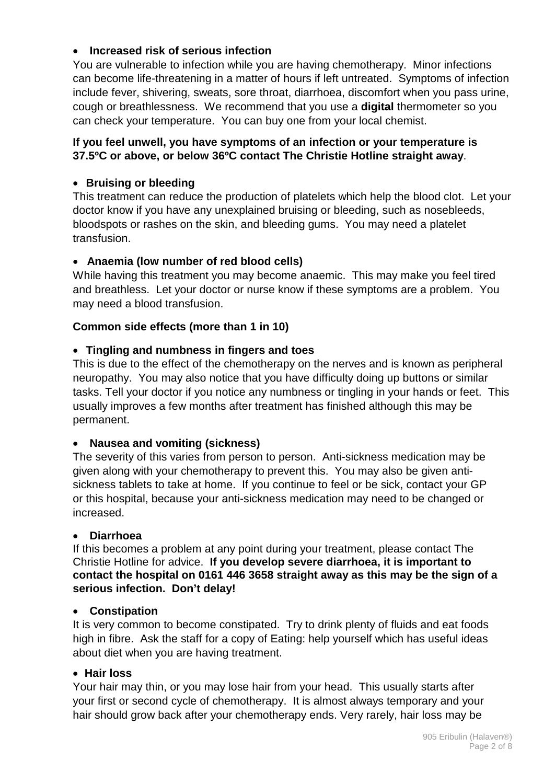#### • **Increased risk of serious infection**

You are vulnerable to infection while you are having chemotherapy. Minor infections can become life-threatening in a matter of hours if left untreated. Symptoms of infection include fever, shivering, sweats, sore throat, diarrhoea, discomfort when you pass urine, cough or breathlessness. We recommend that you use a **digital** thermometer so you can check your temperature. You can buy one from your local chemist.

#### **If you feel unwell, you have symptoms of an infection or your temperature is 37.5ºC or above, or below 36ºC contact The Christie Hotline straight away**.

#### • **Bruising or bleeding**

This treatment can reduce the production of platelets which help the blood clot. Let your doctor know if you have any unexplained bruising or bleeding, such as nosebleeds, bloodspots or rashes on the skin, and bleeding gums. You may need a platelet transfusion.

#### • **Anaemia (low number of red blood cells)**

While having this treatment you may become anaemic. This may make you feel tired and breathless. Let your doctor or nurse know if these symptoms are a problem. You may need a blood transfusion.

#### **Common side effects (more than 1 in 10)**

#### • **Tingling and numbness in fingers and toes**

This is due to the effect of the chemotherapy on the nerves and is known as peripheral neuropathy. You may also notice that you have difficulty doing up buttons or similar tasks. Tell your doctor if you notice any numbness or tingling in your hands or feet. This usually improves a few months after treatment has finished although this may be permanent.

#### • **Nausea and vomiting (sickness)**

The severity of this varies from person to person. Anti-sickness medication may be given along with your chemotherapy to prevent this. You may also be given antisickness tablets to take at home. If you continue to feel or be sick, contact your GP or this hospital, because your anti-sickness medication may need to be changed or increased.

#### • **Diarrhoea**

If this becomes a problem at any point during your treatment, please contact The Christie Hotline for advice. **If you develop severe diarrhoea, it is important to contact the hospital on 0161 446 3658 straight away as this may be the sign of a serious infection. Don't delay!**

#### • **Constipation**

It is very common to become constipated. Try to drink plenty of fluids and eat foods high in fibre. Ask the staff for a copy of Eating: help yourself which has useful ideas about diet when you are having treatment.

#### • **Hair loss**

Your hair may thin, or you may lose hair from your head. This usually starts after your first or second cycle of chemotherapy. It is almost always temporary and your hair should grow back after your chemotherapy ends. Very rarely, hair loss may be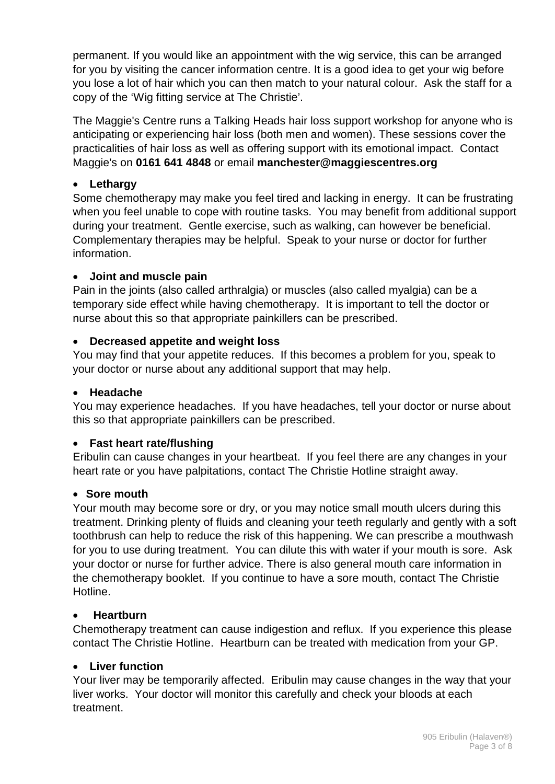permanent. If you would like an appointment with the wig service, this can be arranged for you by visiting the cancer information centre. It is a good idea to get your wig before you lose a lot of hair which you can then match to your natural colour. Ask the staff for a copy of the 'Wig fitting service at The Christie'.

The Maggie's Centre runs a Talking Heads hair loss support workshop for anyone who is anticipating or experiencing hair loss (both men and women). These sessions cover the practicalities of hair loss as well as offering support with its emotional impact. Contact Maggie's on **0161 641 4848** or email **manchester@maggiescentres.org**

#### • **Lethargy**

Some chemotherapy may make you feel tired and lacking in energy. It can be frustrating when you feel unable to cope with routine tasks. You may benefit from additional support during your treatment. Gentle exercise, such as walking, can however be beneficial. Complementary therapies may be helpful. Speak to your nurse or doctor for further information.

#### • **Joint and muscle pain**

Pain in the joints (also called arthralgia) or muscles (also called myalgia) can be a temporary side effect while having chemotherapy. It is important to tell the doctor or nurse about this so that appropriate painkillers can be prescribed.

#### • **Decreased appetite and weight loss**

You may find that your appetite reduces. If this becomes a problem for you, speak to your doctor or nurse about any additional support that may help.

#### • **Headache**

You may experience headaches. If you have headaches, tell your doctor or nurse about this so that appropriate painkillers can be prescribed.

#### • **Fast heart rate/flushing**

Eribulin can cause changes in your heartbeat. If you feel there are any changes in your heart rate or you have palpitations, contact The Christie Hotline straight away.

#### • **Sore mouth**

Your mouth may become sore or dry, or you may notice small mouth ulcers during this treatment. Drinking plenty of fluids and cleaning your teeth regularly and gently with a soft toothbrush can help to reduce the risk of this happening. We can prescribe a mouthwash for you to use during treatment. You can dilute this with water if your mouth is sore. Ask your doctor or nurse for further advice. There is also general mouth care information in the chemotherapy booklet. If you continue to have a sore mouth, contact The Christie Hotline.

#### • **Heartburn**

Chemotherapy treatment can cause indigestion and reflux. If you experience this please contact The Christie Hotline. Heartburn can be treated with medication from your GP.

#### • **Liver function**

Your liver may be temporarily affected. Eribulin may cause changes in the way that your liver works. Your doctor will monitor this carefully and check your bloods at each treatment.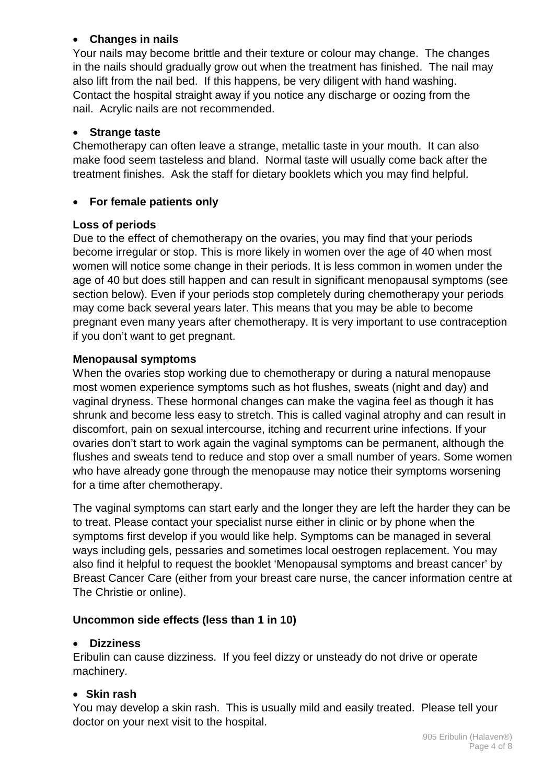#### • **Changes in nails**

Your nails may become brittle and their texture or colour may change. The changes in the nails should gradually grow out when the treatment has finished. The nail may also lift from the nail bed. If this happens, be very diligent with hand washing. Contact the hospital straight away if you notice any discharge or oozing from the nail. Acrylic nails are not recommended.

#### • **Strange taste**

Chemotherapy can often leave a strange, metallic taste in your mouth. It can also make food seem tasteless and bland. Normal taste will usually come back after the treatment finishes. Ask the staff for dietary booklets which you may find helpful.

#### • **For female patients only**

#### **Loss of periods**

Due to the effect of chemotherapy on the ovaries, you may find that your periods become irregular or stop. This is more likely in women over the age of 40 when most women will notice some change in their periods. It is less common in women under the age of 40 but does still happen and can result in significant menopausal symptoms (see section below). Even if your periods stop completely during chemotherapy your periods may come back several years later. This means that you may be able to become pregnant even many years after chemotherapy. It is very important to use contraception if you don't want to get pregnant.

#### **Menopausal symptoms**

When the ovaries stop working due to chemotherapy or during a natural menopause most women experience symptoms such as hot flushes, sweats (night and day) and vaginal dryness. These hormonal changes can make the vagina feel as though it has shrunk and become less easy to stretch. This is called vaginal atrophy and can result in discomfort, pain on sexual intercourse, itching and recurrent urine infections. If your ovaries don't start to work again the vaginal symptoms can be permanent, although the flushes and sweats tend to reduce and stop over a small number of years. Some women who have already gone through the menopause may notice their symptoms worsening for a time after chemotherapy.

The vaginal symptoms can start early and the longer they are left the harder they can be to treat. Please contact your specialist nurse either in clinic or by phone when the symptoms first develop if you would like help. Symptoms can be managed in several ways including gels, pessaries and sometimes local oestrogen replacement. You may also find it helpful to request the booklet 'Menopausal symptoms and breast cancer' by Breast Cancer Care (either from your breast care nurse, the cancer information centre at The Christie or online).

#### **Uncommon side effects (less than 1 in 10)**

#### • **Dizziness**

Eribulin can cause dizziness. If you feel dizzy or unsteady do not drive or operate machinery.

#### • **Skin rash**

You may develop a skin rash. This is usually mild and easily treated. Please tell your doctor on your next visit to the hospital.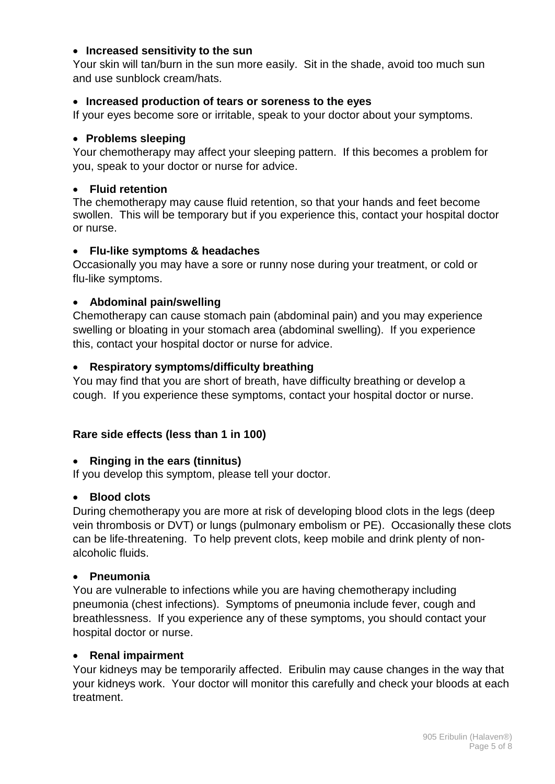#### • **Increased sensitivity to the sun**

Your skin will tan/burn in the sun more easily. Sit in the shade, avoid too much sun and use sunblock cream/hats.

#### • **Increased production of tears or soreness to the eyes**

If your eyes become sore or irritable, speak to your doctor about your symptoms.

#### • **Problems sleeping**

Your chemotherapy may affect your sleeping pattern. If this becomes a problem for you, speak to your doctor or nurse for advice.

#### • **Fluid retention**

The chemotherapy may cause fluid retention, so that your hands and feet become swollen. This will be temporary but if you experience this, contact your hospital doctor or nurse.

#### • **Flu-like symptoms & headaches**

Occasionally you may have a sore or runny nose during your treatment, or cold or flu-like symptoms.

#### • **Abdominal pain/swelling**

Chemotherapy can cause stomach pain (abdominal pain) and you may experience swelling or bloating in your stomach area (abdominal swelling). If you experience this, contact your hospital doctor or nurse for advice.

#### • **Respiratory symptoms/difficulty breathing**

You may find that you are short of breath, have difficulty breathing or develop a cough. If you experience these symptoms, contact your hospital doctor or nurse.

#### **Rare side effects (less than 1 in 100)**

#### • **Ringing in the ears (tinnitus)**

If you develop this symptom, please tell your doctor.

#### • **Blood clots**

During chemotherapy you are more at risk of developing blood clots in the legs (deep vein thrombosis or DVT) or lungs (pulmonary embolism or PE). Occasionally these clots can be life-threatening. To help prevent clots, keep mobile and drink plenty of nonalcoholic fluids.

#### • **Pneumonia**

You are vulnerable to infections while you are having chemotherapy including pneumonia (chest infections). Symptoms of pneumonia include fever, cough and breathlessness. If you experience any of these symptoms, you should contact your hospital doctor or nurse.

#### • **Renal impairment**

Your kidneys may be temporarily affected. Eribulin may cause changes in the way that your kidneys work. Your doctor will monitor this carefully and check your bloods at each treatment.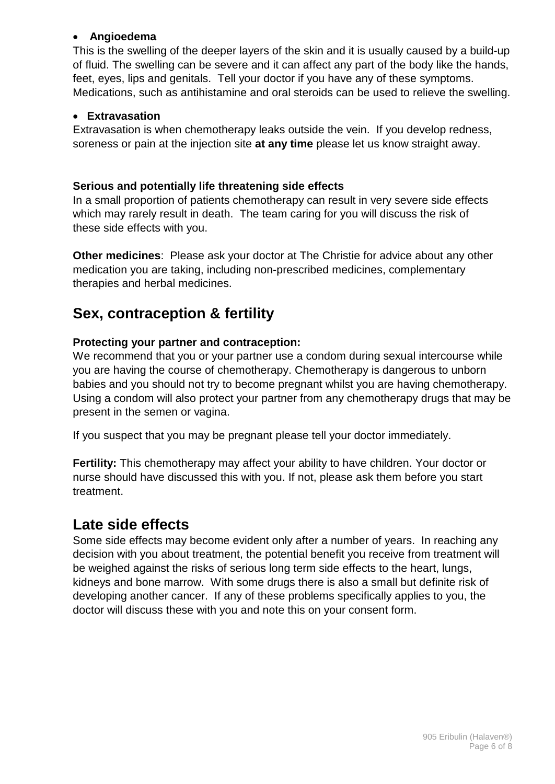#### • **Angioedema**

This is the swelling of the deeper layers of the skin and it is usually caused by a build-up of fluid. The swelling can be severe and it can affect any part of the body like the hands, feet, eyes, lips and genitals. Tell your doctor if you have any of these symptoms. Medications, such as antihistamine and oral steroids can be used to relieve the swelling.

#### • **Extravasation**

Extravasation is when chemotherapy leaks outside the vein. If you develop redness, soreness or pain at the injection site **at any time** please let us know straight away.

#### **Serious and potentially life threatening side effects**

In a small proportion of patients chemotherapy can result in very severe side effects which may rarely result in death. The team caring for you will discuss the risk of these side effects with you.

**Other medicines**: Please ask your doctor at The Christie for advice about any other medication you are taking, including non-prescribed medicines, complementary therapies and herbal medicines.

# **Sex, contraception & fertility**

#### **Protecting your partner and contraception:**

We recommend that you or your partner use a condom during sexual intercourse while you are having the course of chemotherapy. Chemotherapy is dangerous to unborn babies and you should not try to become pregnant whilst you are having chemotherapy. Using a condom will also protect your partner from any chemotherapy drugs that may be present in the semen or vagina.

If you suspect that you may be pregnant please tell your doctor immediately.

**Fertility:** This chemotherapy may affect your ability to have children. Your doctor or nurse should have discussed this with you. If not, please ask them before you start treatment.

# **Late side effects**

Some side effects may become evident only after a number of years. In reaching any decision with you about treatment, the potential benefit you receive from treatment will be weighed against the risks of serious long term side effects to the heart, lungs, kidneys and bone marrow. With some drugs there is also a small but definite risk of developing another cancer. If any of these problems specifically applies to you, the doctor will discuss these with you and note this on your consent form.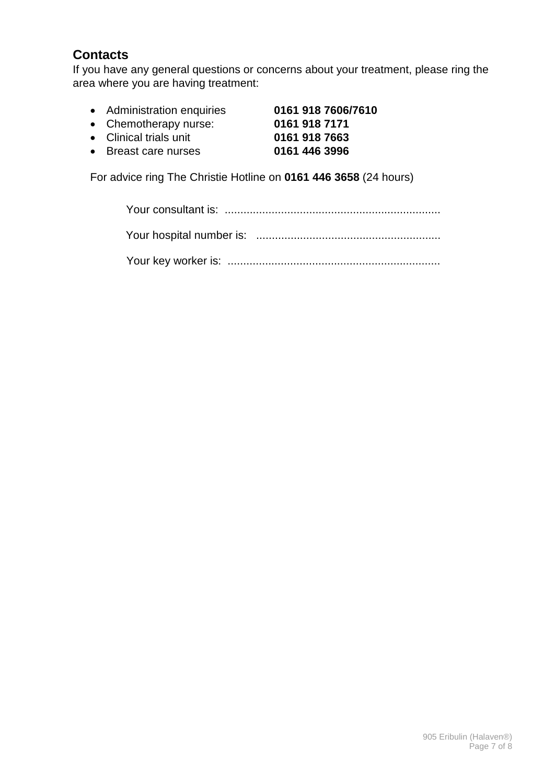# **Contacts**

If you have any general questions or concerns about your treatment, please ring the area where you are having treatment:

- Administration enquiries **0161 918 7606/7610**
- Chemotherapy nurse:
- Clinical trials unit **0161 918 7663**
- **•** Breast care nurses

For advice ring The Christie Hotline on **0161 446 3658** (24 hours)